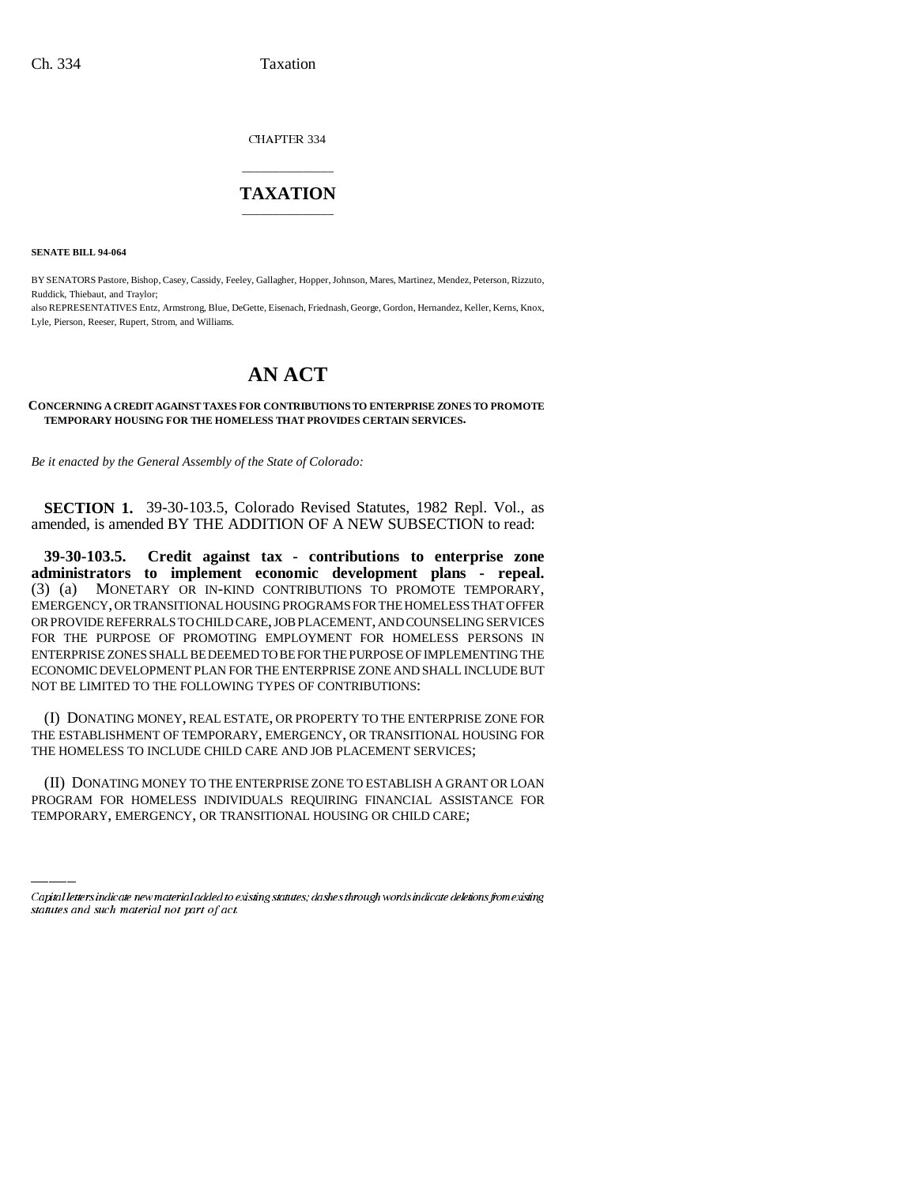CHAPTER 334

## \_\_\_\_\_\_\_\_\_\_\_\_\_\_\_ **TAXATION** \_\_\_\_\_\_\_\_\_\_\_\_\_\_\_

**SENATE BILL 94-064**

BY SENATORS Pastore, Bishop, Casey, Cassidy, Feeley, Gallagher, Hopper, Johnson, Mares, Martinez, Mendez, Peterson, Rizzuto, Ruddick, Thiebaut, and Traylor;

also REPRESENTATIVES Entz, Armstrong, Blue, DeGette, Eisenach, Friednash, George, Gordon, Hernandez, Keller, Kerns, Knox, Lyle, Pierson, Reeser, Rupert, Strom, and Williams.

## **AN ACT**

## **CONCERNING A CREDIT AGAINST TAXES FOR CONTRIBUTIONS TO ENTERPRISE ZONES TO PROMOTE TEMPORARY HOUSING FOR THE HOMELESS THAT PROVIDES CERTAIN SERVICES.**

*Be it enacted by the General Assembly of the State of Colorado:*

**SECTION 1.** 39-30-103.5, Colorado Revised Statutes, 1982 Repl. Vol., as amended, is amended BY THE ADDITION OF A NEW SUBSECTION to read:

**39-30-103.5. Credit against tax - contributions to enterprise zone administrators to implement economic development plans - repeal.** (3) (a) MONETARY OR IN-KIND CONTRIBUTIONS TO PROMOTE TEMPORARY, EMERGENCY, OR TRANSITIONAL HOUSING PROGRAMS FOR THE HOMELESS THAT OFFER OR PROVIDE REFERRALS TO CHILD CARE, JOB PLACEMENT, AND COUNSELING SERVICES FOR THE PURPOSE OF PROMOTING EMPLOYMENT FOR HOMELESS PERSONS IN ENTERPRISE ZONES SHALL BE DEEMED TO BE FOR THE PURPOSE OF IMPLEMENTING THE ECONOMIC DEVELOPMENT PLAN FOR THE ENTERPRISE ZONE AND SHALL INCLUDE BUT NOT BE LIMITED TO THE FOLLOWING TYPES OF CONTRIBUTIONS:

(I) DONATING MONEY, REAL ESTATE, OR PROPERTY TO THE ENTERPRISE ZONE FOR THE ESTABLISHMENT OF TEMPORARY, EMERGENCY, OR TRANSITIONAL HOUSING FOR THE HOMELESS TO INCLUDE CHILD CARE AND JOB PLACEMENT SERVICES;

 $\sim$ (II) DONATING MONEY TO THE ENTERPRISE ZONE TO ESTABLISH A GRANT OR LOAN PROGRAM FOR HOMELESS INDIVIDUALS REQUIRING FINANCIAL ASSISTANCE FOR TEMPORARY, EMERGENCY, OR TRANSITIONAL HOUSING OR CHILD CARE;

Capital letters indicate new material added to existing statutes; dashes through words indicate deletions from existing statutes and such material not part of act.